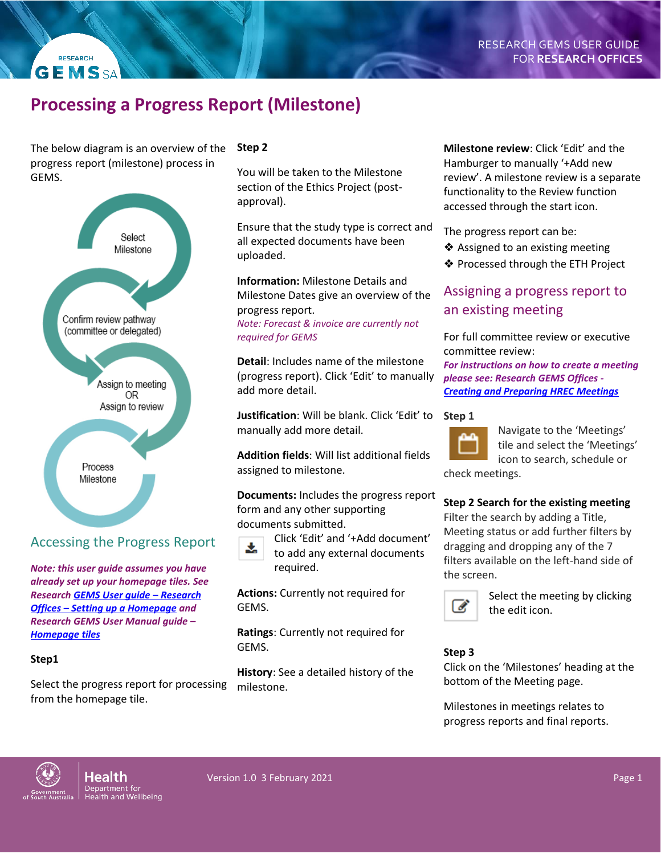# **Processing a Progress Report (Milestone)**

The below diagram is an overview of the progress report (milestone) process in GEMS.

**RESEARCH GEMSSA** 



## Accessing the Progress Report

*Note: this user guide assumes you have already set up your homepage tiles. See Research [GEMS User guide](https://www.sahealth.sa.gov.au/wps/wcm/connect/public+content/sa+health+internet/resources/research+gems+research+office+home+page+tiles) – Research Offices – [Setting up a Homepage](https://www.sahealth.sa.gov.au/wps/wcm/connect/public+content/sa+health+internet/resources/research+gems+research+office+home+page+tiles) and Research GEMS User Manual guide – [Homepage tiles](https://www.sahealth.sa.gov.au/wps/wcm/connect/public+content/sa+health+internet/resources/research+gems+research+office+home+page+tiles)*

#### **Step1**

Select the progress report for processing from the homepage tile.

#### **Step 2**

You will be taken to the Milestone section of the Ethics Project (postapproval).

Ensure that the study type is correct and all expected documents have been uploaded.

**Information:** Milestone Details and Milestone Dates give an overview of the progress report.

*Note: Forecast & invoice are currently not required for GEMS*

**Detail**: Includes name of the milestone (progress report). Click 'Edit' to manually add more detail.

**Justification**: Will be blank. Click 'Edit' to **Step 1** manually add more detail.

**Addition fields**: Will list additional fields assigned to milestone.

**Documents:** Includes the progress report form and any other supporting documents submitted.



Click 'Edit' and '+Add document' to add any external documents

required.

**Actions:** Currently not required for GEMS.

**Ratings**: Currently not required for GEMS.

**History**: See a detailed history of the milestone.

**Milestone review**: Click 'Edit' and the Hamburger to manually '+Add new review'. A milestone review is a separate functionality to the Review function accessed through the start icon.

The progress report can be:

- ❖ Assigned to an existing meeting
- ❖ Processed through the ETH Project

## Assigning a progress report to an existing meeting

For full committee review or executive committee review:

*For instructions on how to create a meeting please see: Research GEMS Offices - [Creating and Preparing HREC Meetings](file://///dhgsf02/Clinsys/Clinical%20Systems/SA%20IMET/Company%20Data/Research%20Unit/Research%20GEMS/User%20Guides/Sues%20guides%20ready%20for%20checking/For%20instructions%20on%20how%20to%20create%20a%20meeting%20please%20see:%20Research%20GEMS%20Offices%20-%20Creating%20and%20Preparing%20HREC%20Meetings)*



Navigate to the 'Meetings' tile and select the 'Meetings' icon to search, schedule or

check meetings.

#### **Step 2 Search for the existing meeting**

Filter the search by adding a Title, Meeting status or add further filters by dragging and dropping any of the 7 filters available on the left-hand side of the screen.



Select the meeting by clicking the edit icon.

#### **Step 3**

Click on the 'Milestones' heading at the bottom of the Meeting page.

Milestones in meetings relates to progress reports and final reports.

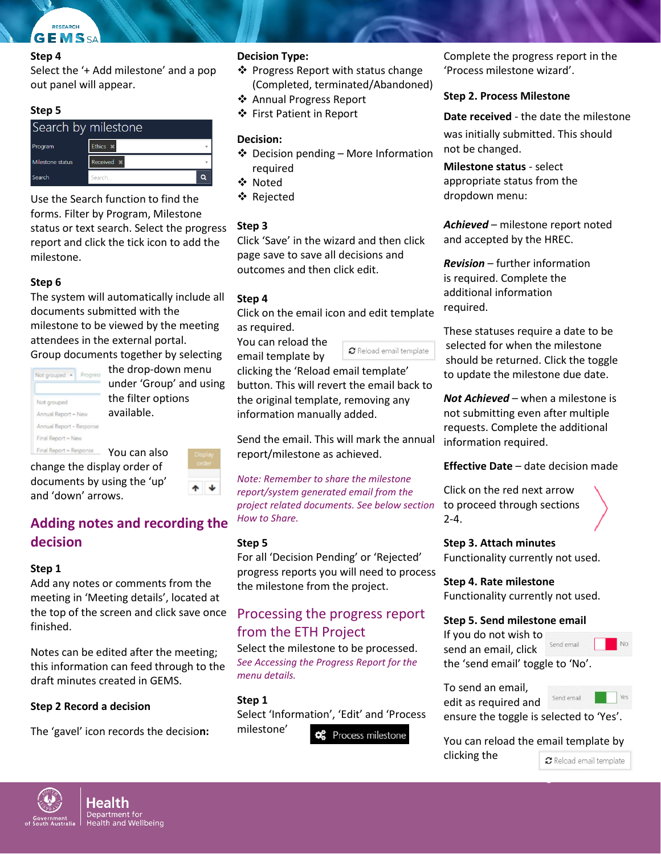#### **Step 4**

Select the '+ Add milestone' and a pop out panel will appear.

#### **Step 5**

| Search by milestone |                   |  |
|---------------------|-------------------|--|
| Program             | Ethics *          |  |
| Milestone status    | Received <b>*</b> |  |
| Search              | Search            |  |

Use the Search function to find the forms. Filter by Program, Milestone status or text search. Select the progress report and click the tick icon to add the milestone.

#### **Step 6**

The system will automatically include all documents submitted with the milestone to be viewed by the meeting attendees in the external portal. Group documents together by selecting

| Not grouped *            | Progress |
|--------------------------|----------|
|                          |          |
| Not grouped              |          |
| Annual Report - New      |          |
| Annual Report - Response |          |
| Final Report - New       |          |
| Final Report - Response  |          |

the drop-down menu under 'Group' and using the filter options available.

You can also change the display order of documents by using the 'up' and 'down' arrows.

## **Adding notes and recording the decision**

#### **Step 1**

Add any notes or comments from the meeting in 'Meeting details', located at the top of the screen and click save once finished.

Notes can be edited after the meeting; this information can feed through to the draft minutes created in GEMS.

#### **Step 2 Record a decision**

The 'gavel' icon records the decisio**n:**

#### **Decision Type:**

- ❖ Progress Report with status change (Completed, terminated/Abandoned)
- ❖ Annual Progress Report
- ❖ First Patient in Report

#### **Decision:**

- $\triangleleft$  Decision pending More Information required
- Noted
- Rejected

#### **Step 3**

Click 'Save' in the wizard and then click page save to save all decisions and outcomes and then click edit.

#### **Step 4**

Click on the email icon and edit template as required.

You can reload the email template by

 $\sigma$  Reload email template

clicking the 'Reload email template' button. This will revert the email back to the original template, removing any information manually added.

Send the email. This will mark the annual report/milestone as achieved.

*Note: Remember to share the milestone report/system generated email from the project related documents. See below section How to Share.*

#### **Step 5**

For all 'Decision Pending' or 'Rejected' progress reports you will need to process the milestone from the project.

## Processing the progress report from the ETH Project

Select the milestone to be processed. *See Accessing the Progress Report for the menu details.*

#### **Step 1**

Select 'Information', 'Edit' and 'Process milestone'

Process milestone

Complete the progress report in the 'Process milestone wizard'.

#### **Step 2. Process Milestone**

**Date received** - the date the milestone was initially submitted. This should not be changed.

**Milestone status** - select appropriate status from the dropdown menu:

*Achieved* – milestone report noted and accepted by the HREC.

*Revision* – further information is required. Complete the additional information required.

These statuses require a date to be selected for when the milestone should be returned. Click the toggle to update the milestone due date.

*Not Achieved* – when a milestone is not submitting even after multiple requests. Complete the additional information required.

#### **Effective Date** – date decision made

Click on the red next arrow to proceed through sections 2-4.

**Step 3. Attach minutes** Functionality currently not used.

**Step 4. Rate milestone** Functionality currently not used.

#### **Step 5. Send milestone email**

If you do not wish to Send email send an email, click

the 'send email' toggle to 'No'.

To send an email, Send email edit as required and ensure the toggle is selected to 'Yes'.

You can reload the email template by clicking the  $\sigma$  Reload email template

Page 2



![](_page_1_Figure_60.jpeg)

![](_page_1_Figure_61.jpeg)